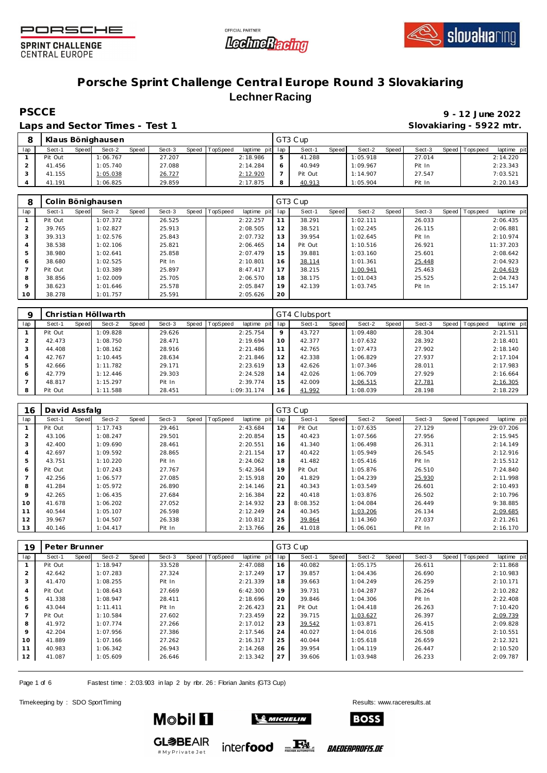





### **Porsche Sprint Challenge Central Europe Round 3 Slovakiaring Lechner Racing**

Laps and Sector Times - Test 1 **Slovakiaring - 5922 mtr.** And Slovakiaring - 5922 mtr.

# **PSCCE 9 - 12 June 2022**

|     |         |       | Klaus Bönighausen |              |        |       |                 |                 | GT3 Cup |              |          |       |        |                   |             |
|-----|---------|-------|-------------------|--------------|--------|-------|-----------------|-----------------|---------|--------------|----------|-------|--------|-------------------|-------------|
| lap | Sect-1  | Speed | Sect-2            | <b>Speed</b> | Sect-3 | Speed | <b>TopSpeed</b> | laptime pit lap | Sect-1  | <b>Speed</b> | Sect-2   | Speed | Sect-3 | Speed   Tops peed | laptime pit |
|     | Pit Out |       | 1:06.767          |              | 27.207 |       |                 | 2:18.986        | 41.288  |              | 1:05.918 |       | 27.014 |                   | 2:14.220    |
|     | 41.456  |       | 1:05.740          |              | 27.088 |       |                 | 2:14.284        | 40.949  |              | 1:09.967 |       | Pit In |                   | 2:23.343    |
|     | 41.155  |       | 1:05.038          |              | 26.727 |       |                 | 2:12.920        | Pit Out |              | 1:14.907 |       | 27.547 |                   | 7:03.521    |
|     | 41.191  |       | 1:06.825          |              | 29.859 |       |                 | 2:17.875        | 40.913  |              | 1:05.904 |       | Pit In |                   | 2:20.143    |

| 8              |         |       | Colin Bönighausen |       |        |       |          |             |     | GT3 Cup |       |          |       |        |                   |             |
|----------------|---------|-------|-------------------|-------|--------|-------|----------|-------------|-----|---------|-------|----------|-------|--------|-------------------|-------------|
| lap            | Sect-1  | Speed | Sect-2            | Speed | Sect-3 | Speed | TopSpeed | laptime pit | lap | Sect-1  | Speed | Sect-2   | Speed | Sect-3 | Speed   Tops peed | laptime pit |
|                | Pit Out |       | 1:07.372          |       | 26.525 |       |          | 2:22.257    | 11  | 38.291  |       | 1:02.111 |       | 26.033 |                   | 2:06.435    |
| $\overline{2}$ | 39.765  |       | 1:02.827          |       | 25.913 |       |          | 2:08.505    | 12  | 38.521  |       | 1:02.245 |       | 26.115 |                   | 2:06.881    |
| 3              | 39.313  |       | 1:02.576          |       | 25.843 |       |          | 2:07.732    | 13  | 39.954  |       | 1:02.645 |       | Pit In |                   | 2:10.974    |
| $\overline{4}$ | 38.538  |       | 1:02.106          |       | 25.821 |       |          | 2:06.465    | 14  | Pit Out |       | 1:10.516 |       | 26.921 |                   | 11:37.203   |
| 5              | 38.980  |       | 1:02.641          |       | 25.858 |       |          | 2:07.479    | 15  | 39.881  |       | 1:03.160 |       | 25.601 |                   | 2:08.642    |
| 6              | 38.680  |       | 1:02.525          |       | Pit In |       |          | 2:10.801    | 16  | 38.114  |       | 1:01.361 |       | 25.448 |                   | 2:04.923    |
|                | Pit Out |       | 1:03.389          |       | 25.897 |       |          | 8:47.417    | 17  | 38.215  |       | 1:00.941 |       | 25.463 |                   | 2:04.619    |
| 8              | 38.856  |       | 1:02.009          |       | 25.705 |       |          | 2:06.570    | 18  | 38.175  |       | 1:01.043 |       | 25.525 |                   | 2:04.743    |
| 9              | 38.623  |       | 1:01.646          |       | 25.578 |       |          | 2:05.847    | 19  | 42.139  |       | 1:03.745 |       | Pit In |                   | 2:15.147    |
| 10             | 38.278  |       | 1:01.757          |       | 25.591 |       |          | 2:05.626    | 20  |         |       |          |       |        |                   |             |

|     |         |       | Christian Höllwarth |       |        |       |          |             |     | GT4 Clubsport |       |          |       |        |       |           |             |
|-----|---------|-------|---------------------|-------|--------|-------|----------|-------------|-----|---------------|-------|----------|-------|--------|-------|-----------|-------------|
| lap | Sect-1  | Speed | Sect-2              | Speed | Sect-3 | Speed | TopSpeed | laptime pit | lap | Sect-1        | Speed | Sect-2   | Speed | Sect-3 | Speed | Tops peed | laptime pit |
|     | Pit Out |       | 1:09.828            |       | 29.626 |       |          | 2:25.754    | 9   | 43.727        |       | 1:09.480 |       | 28.304 |       |           | 2:21.511    |
|     | 42.473  |       | 1:08.750            |       | 28.471 |       |          | 2:19.694    | 10  | 42.377        |       | 1:07.632 |       | 28.392 |       |           | 2:18.401    |
| 3   | 44.408  |       | 1:08.162            |       | 28.916 |       |          | 2:21.486    | 11  | 42.765        |       | 1:07.473 |       | 27.902 |       |           | 2:18.140    |
|     | 42.767  |       | 1:10.445            |       | 28.634 |       |          | 2:21.846    | 12  | 42.338        |       | 1:06.829 |       | 27.937 |       |           | 2:17.104    |
| .5  | 42.666  |       | 1:11.782            |       | 29.171 |       |          | 2:23.619    | 13  | 42.626        |       | 1:07.346 |       | 28.011 |       |           | 2:17.983    |
| 6   | 42.779  |       | 1:12.446            |       | 29.303 |       |          | 2:24.528    | 14  | 42.026        |       | 1:06.709 |       | 27.929 |       |           | 2:16.664    |
|     | 48.817  |       | 1:15.297            |       | Pit In |       |          | 2:39.774    | 15  | 42.009        |       | 1:06.515 |       | 27.781 |       |           | 2:16.305    |
| 8   | Pit Out |       | 1:11.588            |       | 28.451 |       |          | 1:09:31.174 | 16  | 41.992        |       | 1:08.039 |       | 28.198 |       |           | 2:18.229    |

| 16             | David Assfalg |       |          |       |        |                |             |     | GT3 Cup  |       |          |       |        |       |           |             |
|----------------|---------------|-------|----------|-------|--------|----------------|-------------|-----|----------|-------|----------|-------|--------|-------|-----------|-------------|
| lap            | Sect-1        | Speed | Sect-2   | Speed | Sect-3 | Speed TopSpeed | laptime pit | lap | Sect-1   | Speed | Sect-2   | Speed | Sect-3 | Speed | Tops peed | laptime pit |
|                | Pit Out       |       | 1:17.743 |       | 29.461 |                | 2:43.684    | 14  | Pit Out  |       | 1:07.635 |       | 27.129 |       |           | 29:07.206   |
| $\overline{2}$ | 43.106        |       | 1:08.247 |       | 29.501 |                | 2:20.854    | 15  | 40.423   |       | 1:07.566 |       | 27.956 |       |           | 2:15.945    |
| 3              | 42.400        |       | 1:09.690 |       | 28.461 |                | 2:20.551    | 16  | 41.340   |       | 1:06.498 |       | 26.311 |       |           | 2:14.149    |
| $\overline{4}$ | 42.697        |       | 1:09.592 |       | 28.865 |                | 2:21.154    | 17  | 40.422   |       | 1:05.949 |       | 26.545 |       |           | 2:12.916    |
| 5              | 43.751        |       | 1:10.220 |       | Pit In |                | 2:24.062    | 18  | 41.482   |       | 1:05.416 |       | Pit In |       |           | 2:15.512    |
| 6              | Pit Out       |       | 1:07.243 |       | 27.767 |                | 5:42.364    | 19  | Pit Out  |       | 1:05.876 |       | 26.510 |       |           | 7:24.840    |
|                | 42.256        |       | 1:06.577 |       | 27.085 |                | 2:15.918    | 20  | 41.829   |       | 1:04.239 |       | 25.930 |       |           | 2:11.998    |
| 8              | 41.284        |       | 1:05.972 |       | 26.890 |                | 2:14.146    | 21  | 40.343   |       | 1:03.549 |       | 26.601 |       |           | 2:10.493    |
| 9              | 42.265        |       | 1:06.435 |       | 27.684 |                | 2:16.384    | 22  | 40.418   |       | 1:03.876 |       | 26.502 |       |           | 2:10.796    |
| 10             | 41.678        |       | 1:06.202 |       | 27.052 |                | 2:14.932    | 23  | 8:08.352 |       | 1:04.084 |       | 26.449 |       |           | 9:38.885    |
| 11             | 40.544        |       | 1:05.107 |       | 26.598 |                | 2:12.249    | 24  | 40.345   |       | 1:03.206 |       | 26.134 |       |           | 2:09.685    |
| 12             | 39.967        |       | 1:04.507 |       | 26.338 |                | 2:10.812    | 25  | 39.864   |       | 1:14.360 |       | 27.037 |       |           | 2:21.261    |
| 13             | 40.146        |       | 1:04.417 |       | Pit In |                | 2:13.766    | 26  | 41.018   |       | 1:06.061 |       | Pit In |       |           | 2:16.170    |

| 19             | Peter Brunner |       |          |       |        |       |          |             |     | GT3 Cup |       |          |       |        |       |             |             |
|----------------|---------------|-------|----------|-------|--------|-------|----------|-------------|-----|---------|-------|----------|-------|--------|-------|-------------|-------------|
| lap            | Sect-1        | Speed | Sect-2   | Speed | Sect-3 | Speed | TopSpeed | laptime pit | lap | Sect-1  | Speed | Sect-2   | Speed | Sect-3 | Speed | T ops pee d | laptime pit |
|                | Pit Out       |       | 1:18.947 |       | 33.528 |       |          | 2:47.088    | 16  | 40.082  |       | 1:05.175 |       | 26.611 |       |             | 2:11.868    |
| $\overline{2}$ | 42.642        |       | 1:07.283 |       | 27.324 |       |          | 2:17.249    | 17  | 39.857  |       | 1:04.436 |       | 26.690 |       |             | 2:10.983    |
| 3              | 41.470        |       | 1:08.255 |       | Pit In |       |          | 2:21.339    | 18  | 39.663  |       | 1:04.249 |       | 26.259 |       |             | 2:10.171    |
| $\overline{4}$ | Pit Out       |       | 1:08.643 |       | 27.669 |       |          | 6:42.300    | 19  | 39.731  |       | 1:04.287 |       | 26.264 |       |             | 2:10.282    |
| 5              | 41.338        |       | 1:08.947 |       | 28.411 |       |          | 2:18.696    | 20  | 39.846  |       | 1:04.306 |       | Pit In |       |             | 2:22.408    |
| 6              | 43.044        |       | 1:11.411 |       | Pit In |       |          | 2:26.423    | 21  | Pit Out |       | 1:04.418 |       | 26.263 |       |             | 7:10.420    |
|                | Pit Out       |       | 1:10.584 |       | 27.602 |       |          | 7:23.459    | 22  | 39.715  |       | 1:03.627 |       | 26.397 |       |             | 2:09.739    |
| 8              | 41.972        |       | 1:07.774 |       | 27.266 |       |          | 2:17.012    | 23  | 39.542  |       | 1:03.871 |       | 26.415 |       |             | 2:09.828    |
| 9              | 42.204        |       | 1:07.956 |       | 27.386 |       |          | 2:17.546    | 24  | 40.027  |       | 1:04.016 |       | 26.508 |       |             | 2:10.551    |
| 10             | 41.889        |       | 1:07.166 |       | 27.262 |       |          | 2:16.317    | 25  | 40.044  |       | 1:05.618 |       | 26.659 |       |             | 2:12.321    |
| 11             | 40.983        |       | 1:06.342 |       | 26.943 |       |          | 2:14.268    | 26  | 39.954  |       | 1:04.119 |       | 26.447 |       |             | 2:10.520    |
| 12             | 41.087        |       | 1:05.609 |       | 26.646 |       |          | 2:13.342    | 27  | 39.606  |       | 1:03.948 |       | 26.233 |       |             | 2:09.787    |

Page 1 of 6 Fastest time : 2:03.903 in lap 2 by nbr. 26 : Florian Janits (GT3 Cup)

Timekeeping by : SDO SportTiming Results: [www.raceresults.a](www.raceresults.at)t



**Mobil 11** 



**SO MICHELIN** 

*BAEDERPROFIS.DE*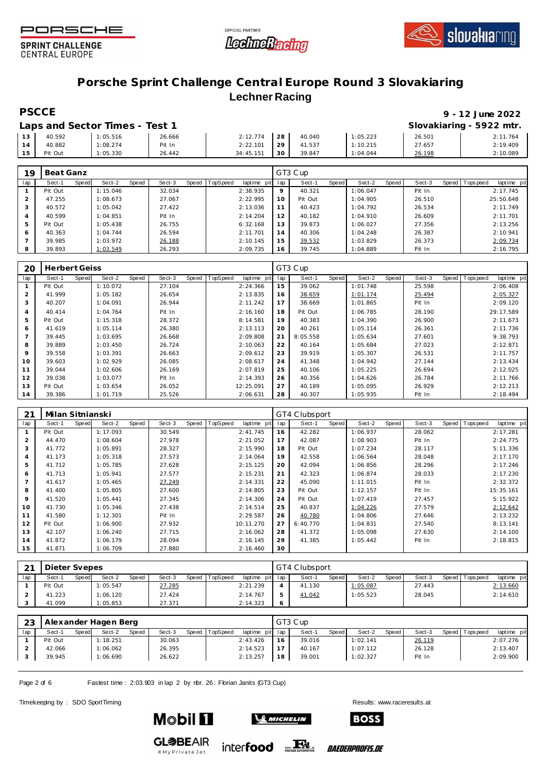





### **Porsche Sprint Challenge Central Europe Round 3 Slovakiaring Lechner Racing**

### **PSCCE 9 - 12 June 2022**

|    |         | Laps and Sector Times - Test 1 |        |           |    |        |          |        | Slovakiaring - 5922 mtr. |
|----|---------|--------------------------------|--------|-----------|----|--------|----------|--------|--------------------------|
| 13 | 40.592  | 1:05.516                       | 26.666 | 2:12.774  | 28 | 40.040 | 1:05.223 | 26.501 | 2:11.764                 |
|    | 40.882  | 1:08.274                       | Pit In | 2:22.101  | 29 | 41.537 | 1:10.215 | 27.657 | 2:19.409                 |
| 15 | Pit Out | 1:05.330                       | 26.442 | 34:45.151 | 30 | 39.847 | 1:04.044 | 26.198 | 2:10.089                 |

| 19             | Beat Ganz |       |          |       |        |       |          |                |             | GT3 Cup |       |          |       |        |                |             |
|----------------|-----------|-------|----------|-------|--------|-------|----------|----------------|-------------|---------|-------|----------|-------|--------|----------------|-------------|
| lap            | Sect-1    | Speed | Sect-2   | Speed | Sect-3 | Speed | TopSpeed | laptime<br>pit | lap         | Sect-1  | Speed | Sect-2   | Speed | Sect-3 | Speed Topspeed | laptime pit |
|                | Pit Out   |       | 1:15.046 |       | 32.034 |       |          | 2:38.935       | $\mathsf Q$ | 40.321  |       | 1:06.047 |       | Pit In |                | 2:17.745    |
| $\overline{2}$ | 47.255    |       | 1:08.673 |       | 27.067 |       |          | 2:22.995       | 10          | Pit Out |       | 1:04.905 |       | 26.510 |                | 25:50.648   |
| 3              | 40.572    |       | 1:05.042 |       | 27.422 |       |          | 2:13.036       | 11          | 40.423  |       | 1:04.792 |       | 26.534 |                | 2:11.749    |
| 4              | 40.599    |       | 1:04.851 |       | Pit In |       |          | 2:14.204       | 12          | 40.182  |       | 1:04.910 |       | 26.609 |                | 2:11.701    |
| 5              | Pit Out   |       | 1:05.438 |       | 26.755 |       |          | 6:32.168       | 13          | 39.873  |       | 1:06.027 |       | 27.356 |                | 2:13.256    |
| 6              | 40.363    |       | 1:04.744 |       | 26.594 |       |          | 2:11.701       | 14          | 40.306  |       | 1:04.248 |       | 26.387 |                | 2:10.941    |
|                | 39.985    |       | 1:03.972 |       | 26.188 |       |          | 2:10.145       | 15          | 39.532  |       | 1:03.829 |       | 26.373 |                | 2:09.734    |
| 8              | 39.893    |       | 1:03.549 |       | 26.293 |       |          | 2:09.735       | 16          | 39.745  |       | 1:04.889 |       | Pit In |                | 2:16.795    |

| 20             | <b>Herbert Geiss</b> |       |          |       |        |       |          |             |     | GT3 Cup  |       |          |       |        |       |           |             |
|----------------|----------------------|-------|----------|-------|--------|-------|----------|-------------|-----|----------|-------|----------|-------|--------|-------|-----------|-------------|
| lap            | Sect-1               | Speed | Sect-2   | Speed | Sect-3 | Speed | TopSpeed | laptime pit | lap | Sect-1   | Speed | Sect-2   | Speed | Sect-3 | Speed | Tops peed | laptime pit |
|                | Pit Out              |       | 1:10.072 |       | 27.104 |       |          | 2:24.366    | 15  | 39.062   |       | 1:01.748 |       | 25.598 |       |           | 2:06.408    |
| 2              | 41.999               |       | 1:05.182 |       | 26.654 |       |          | 2:13.835    | 16  | 38.659   |       | 1:01.174 |       | 25.494 |       |           | 2:05.327    |
| 3              | 40.207               |       | 1:04.091 |       | 26.944 |       |          | 2:11.242    | 17  | 38.669   |       | 1:01.865 |       | Pit In |       |           | 2:09.120    |
| $\overline{4}$ | 40.414               |       | 1:04.764 |       | Pit In |       |          | 2:16.160    | 18  | Pit Out  |       | 1:06.785 |       | 28.190 |       |           | 29:17.589   |
| 5              | Pit Out              |       | 1:15.318 |       | 28.372 |       |          | 8:14.581    | 19  | 40.383   |       | 1:04.390 |       | 26.900 |       |           | 2:11.673    |
| 6              | 41.619               |       | 1:05.114 |       | 26.380 |       |          | 2:13.113    | 20  | 40.261   |       | 1:05.114 |       | 26.361 |       |           | 2:11.736    |
| $\overline{7}$ | 39.445               |       | 1:03.695 |       | 26.668 |       |          | 2:09.808    | 21  | 8:05.558 |       | 1:05.634 |       | 27.601 |       |           | 9:38.793    |
| 8              | 39.889               |       | 1:03.450 |       | 26.724 |       |          | 2:10.063    | 22  | 40.164   |       | 1:05.684 |       | 27.023 |       |           | 2:12.871    |
| 9              | 39.558               |       | 1:03.391 |       | 26.663 |       |          | 2:09.612    | 23  | 39.919   |       | 1:05.307 |       | 26.531 |       |           | 2:11.757    |
| 10             | 39.603               |       | 1:02.929 |       | 26.085 |       |          | 2:08.617    | 24  | 41.348   |       | 1:04.942 |       | 27.144 |       |           | 2:13.434    |
| 11             | 39.044               |       | 1:02.606 |       | 26.169 |       |          | 2:07.819    | 25  | 40.106   |       | 1:05.225 |       | 26.694 |       |           | 2:12.025    |
| 12             | 39.038               |       | 1:03.077 |       | Pit In |       |          | 2:14.393    | 26  | 40.356   |       | 1:04.626 |       | 26.784 |       |           | 2:11.766    |
| 13             | Pit Out              |       | 1:03.654 |       | 26.052 |       |          | 12:25.091   | 27  | 40.189   |       | 1:05.095 |       | 26.929 |       |           | 2:12.213    |
| 14             | 39.386               |       | 1:01.719 |       | 25.526 |       |          | 2:06.631    | 28  | 40.307   |       | 1:05.935 |       | Pit In |       |           | 2:18.494    |

| 21  | Milan Sitnianski |       |          |       |        |       |          |             |     | GT4 Clubsport |       |          |       |        |       |           |             |
|-----|------------------|-------|----------|-------|--------|-------|----------|-------------|-----|---------------|-------|----------|-------|--------|-------|-----------|-------------|
| lap | Sect-1           | Speed | Sect-2   | Speed | Sect-3 | Speed | TopSpeed | laptime pit | lap | Sect-1        | Speed | Sect-2   | Speed | Sect-3 | Speed | Tops peed | laptime pit |
|     | Pit Out          |       | 1:17.093 |       | 30.549 |       |          | 2:41.745    | 16  | 42.282        |       | 1:06.937 |       | 28.062 |       |           | 2:17.281    |
| 2   | 44.470           |       | 1:08.604 |       | 27.978 |       |          | 2:21.052    | 17  | 42.087        |       | 1:08.903 |       | Pit In |       |           | 2:24.775    |
| 3   | 41.772           |       | 1:05.891 |       | 28.327 |       |          | 2:15.990    | 18  | Pit Out       |       | 1:07.234 |       | 28.117 |       |           | 5:11.336    |
| 4   | 41.173           |       | 1:05.318 |       | 27.573 |       |          | 2:14.064    | 19  | 42.558        |       | 1:06.564 |       | 28.048 |       |           | 2:17.170    |
| 5   | 41.712           |       | 1:05.785 |       | 27.628 |       |          | 2:15.125    | 20  | 42.094        |       | 1:06.856 |       | 28.296 |       |           | 2:17.246    |
| 6   | 41.713           |       | 1:05.941 |       | 27.577 |       |          | 2:15.231    | 21  | 42.323        |       | 1:06.874 |       | 28.033 |       |           | 2:17.230    |
| 7   | 41.617           |       | 1:05.465 |       | 27.249 |       |          | 2:14.331    | 22  | 45.090        |       | 1:11.015 |       | Pit In |       |           | 2:32.372    |
| 8   | 41.400           |       | 1:05.805 |       | 27.600 |       |          | 2:14.805    | 23  | Pit Out       |       | 1:12.157 |       | Pit In |       |           | 15:35.161   |
| 9   | 41.520           |       | 1:05.441 |       | 27.345 |       |          | 2:14.306    | 24  | Pit Out       |       | 1:07.419 |       | 27.457 |       |           | 5:15.922    |
| 10  | 41.730           |       | 1:05.346 |       | 27.438 |       |          | 2:14.514    | 25  | 40.837        |       | 1:04.226 |       | 27.579 |       |           | 2:12.642    |
| 11  | 41.580           |       | 1:12.301 |       | Pit In |       |          | 2:29.587    | 26  | 40.780        |       | 1:04.806 |       | 27.646 |       |           | 2:13.232    |
| 12  | Pit Out          |       | 1:06.900 |       | 27.932 |       |          | 10:11.270   | 27  | 6:40.770      |       | 1:04.831 |       | 27.540 |       |           | 8:13.141    |
| 13  | 42.107           |       | 1:06.240 |       | 27.715 |       |          | 2:16.062    | 28  | 41.372        |       | 1:05.098 |       | 27.630 |       |           | 2:14.100    |
| 14  | 41.872           |       | 1:06.179 |       | 28.094 |       |          | 2:16.145    | 29  | 41.385        |       | 1:05.442 |       | Pit In |       |           | 2:18.815    |
| 15  | 41.871           |       | 1:06.709 |       | 27.880 |       |          | 2:16.460    | 30  |               |       |          |       |        |       |           |             |

| $\bigcap$ 1 | Dieter Svepes |       |          |       |        |       |                 |                 | GT4 Clubsport |       |          |       |        |         |            |             |
|-------------|---------------|-------|----------|-------|--------|-------|-----------------|-----------------|---------------|-------|----------|-------|--------|---------|------------|-------------|
| lap         | Sect-1        | Speed | Sect-2   | Speed | Sect-3 | Speed | <b>TopSpeed</b> | laptime pit lap | Sect-1        | Speed | Sect-2   | Speed | Sect-3 | Speed I | Tops pee d | laptime pit |
|             | Pit Out       |       | 1:05.547 |       | 27.285 |       |                 | 2:21.239        | 41.130        |       | 1:05.087 |       | 27.443 |         |            | 2:13.660    |
|             | 41.223        |       | 1:06.120 |       | 27.424 |       |                 | 2:14.767        | 41.042        |       | 1:05.523 |       | 28.045 |         |            | 2:14.610    |
|             | 41.099        |       | 1:05.853 |       | 27.371 |       |                 | 2:14.323        |               |       |          |       |        |         |            |             |

| -23 |         |       | Alexander Hagen Berg |       |        |       |          |                 |    | GT3 Cup |       |          |       |        |                 |             |
|-----|---------|-------|----------------------|-------|--------|-------|----------|-----------------|----|---------|-------|----------|-------|--------|-----------------|-------------|
| lap | Sect-1  | Speed | Sect-2               | Speed | Sect-3 | Speed | TopSpeed | laptime pit lap |    | Sect-1  | Speed | Sect-2   | Speed | Sect-3 | Speed Tops peed | laptime pit |
|     | Pit Out |       | 1:18.251             |       | 30.063 |       |          | 2:43.426        | 16 | 39.016  |       | 1:02.141 |       | 26.119 |                 | 2:07.276    |
|     | 42.066  |       | 1:06.062             |       | 26.395 |       |          | 2:14.523        |    | 40.167  |       | 1:07.112 |       | 26.128 |                 | 2:13.407    |
|     | 39.945  |       | 1:06.690             |       | 26.622 |       |          | 2:13.257        | 18 | 39.001  |       | 1:02.327 |       | Pit In |                 | 2:09.900    |
|     |         |       |                      |       |        |       |          |                 |    |         |       |          |       |        |                 |             |

inter**food** EX

Page 2 of 6 Fastest time : 2:03.903 in lap 2 by nbr. 26 : Florian Janits (GT3 Cup)

Timekeeping by : SDO SportTiming Results: [www.raceresults.a](www.raceresults.at)t



**Mobil 11** 



*BAEDERPROFIS.DE*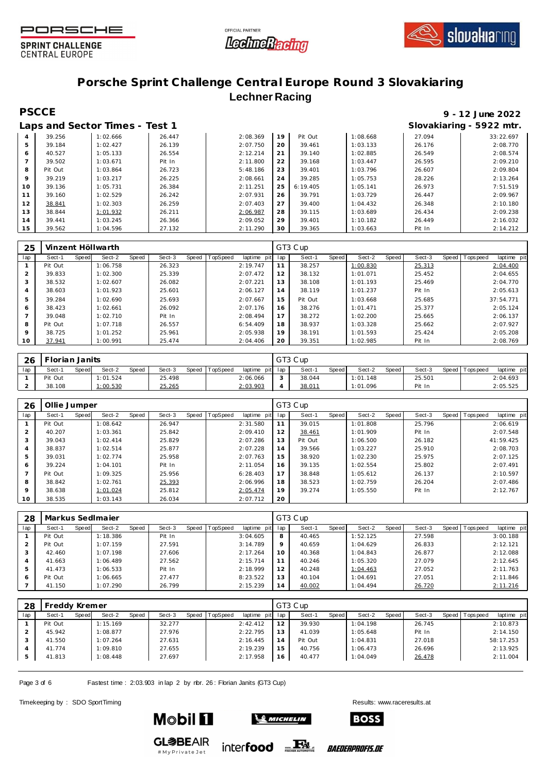





### **Porsche Sprint Challenge Central Europe Round 3 Slovakiaring Lechner Racing**

## **PSCCE 9 - 12 June 2022**

|                |         | Laps and Sector Times - Test 1 |        |          |    |          |          |        | Slovakiaring - 5922 mtr. |
|----------------|---------|--------------------------------|--------|----------|----|----------|----------|--------|--------------------------|
| $\overline{4}$ | 39.256  | 1:02.666                       | 26.447 | 2:08.369 | 19 | Pit Out  | 1:08.668 | 27.094 | 33:22.697                |
| 5              | 39.184  | 1:02.427                       | 26.139 | 2:07.750 | 20 | 39.461   | 1:03.133 | 26.176 | 2:08.770                 |
| 6              | 40.527  | 1:05.133                       | 26.554 | 2:12.214 | 21 | 39.140   | 1:02.885 | 26.549 | 2:08.574                 |
|                | 39.502  | 1:03.671                       | Pit In | 2:11.800 | 22 | 39.168   | 1:03.447 | 26.595 | 2:09.210                 |
| 8              | Pit Out | 1:03.864                       | 26.723 | 5:48.186 | 23 | 39.401   | 1:03.796 | 26.607 | 2:09.804                 |
| 9              | 39.219  | 1:03.217                       | 26.225 | 2:08.661 | 24 | 39.285   | 1:05.753 | 28.226 | 2:13.264                 |
| 10             | 39.136  | 1:05.731                       | 26.384 | 2:11.251 | 25 | 6:19.405 | 1:05.141 | 26.973 | 7:51.519                 |
| 11             | 39.160  | 1:02.529                       | 26.242 | 2:07.931 | 26 | 39.791   | 1:03.729 | 26.447 | 2:09.967                 |
| 12             | 38.841  | 1:02.303                       | 26.259 | 2:07.403 | 27 | 39.400   | 1:04.432 | 26.348 | 2:10.180                 |
| 13             | 38.844  | 1:01.932                       | 26.211 | 2:06.987 | 28 | 39.115   | 1:03.689 | 26.434 | 2:09.238                 |
| 14             | 39.441  | 1:03.245                       | 26.366 | 2:09.052 | 29 | 39.401   | 1:10.182 | 26.449 | 2:16.032                 |
| 15             | 39.562  | 1:04.596                       | 27.132 | 2:11.290 | 30 | 39.365   | 1:03.663 | Pit In | 2:14.212                 |

| 25             |         |       | Vinzent Höllwarth |       |        |       |          |                |     | GT3 Cup |       |          |       |        |       |            |             |
|----------------|---------|-------|-------------------|-------|--------|-------|----------|----------------|-----|---------|-------|----------|-------|--------|-------|------------|-------------|
| lap            | Sect-1  | Speed | Sect-2            | Speed | Sect-3 | Speed | TopSpeed | pit<br>laptime | lap | Sect-1  | Speed | Sect-2   | Speed | Sect-3 | Speed | Tops pee d | laptime pit |
|                | Pit Out |       | 1:06.758          |       | 26.323 |       |          | 2:19.747       | 11  | 38.257  |       | 1:00.830 |       | 25.313 |       |            | 2:04.400    |
| 2              | 39.833  |       | 1:02.300          |       | 25.339 |       |          | 2:07.472       | 12  | 38.132  |       | 1:01.071 |       | 25.452 |       |            | 2:04.655    |
| 3              | 38.532  |       | 1:02.607          |       | 26.082 |       |          | 2:07.221       | 13  | 38.108  |       | 1:01.193 |       | 25.469 |       |            | 2:04.770    |
| $\overline{4}$ | 38.603  |       | 1:01.923          |       | 25.601 |       |          | 2:06.127       | 14  | 38.119  |       | 1:01.237 |       | Pit In |       |            | 2:05.613    |
| 5              | 39.284  |       | 1:02.690          |       | 25.693 |       |          | 2:07.667       | 15  | Pit Out |       | 1:03.668 |       | 25.685 |       |            | 37:54.771   |
| 6              | 38.423  |       | 1:02.661          |       | 26.092 |       |          | 2:07.176       | 16  | 38.276  |       | 1:01.471 |       | 25.377 |       |            | 2:05.124    |
|                | 39.048  |       | 1:02.710          |       | Pit In |       |          | 2:08.494       | 17  | 38.272  |       | 1:02.200 |       | 25.665 |       |            | 2:06.137    |
| 8              | Pit Out |       | 1:07.718          |       | 26.557 |       |          | 6:54.409       | 18  | 38.937  |       | 1:03.328 |       | 25.662 |       |            | 2:07.927    |
| 9              | 38.725  |       | 1:01.252          |       | 25.961 |       |          | 2:05.938       | 19  | 38.191  |       | 1:01.593 |       | 25.424 |       |            | 2:05.208    |
| 10             | 37.941  |       | 1:00.991          |       | 25.474 |       |          | 2:04.406       | 20  | 39.351  |       | 1:02.985 |       | Pit In |       |            | 2:08.769    |

| 26  | Florian Janits |       |          |       |        |       |          |             |        | GT3 Cup |       |          |       |        |            |            |             |
|-----|----------------|-------|----------|-------|--------|-------|----------|-------------|--------|---------|-------|----------|-------|--------|------------|------------|-------------|
| lap | Sect-1         | Speed | Sect-2   | Speed | Sect-3 | Speed | TopSpeed | laptime pit | lap    | Sect-1  | Speed | Sect-2   | Speed | Sect-3 | Speed   To | Tops pee d | laptime pit |
|     | Pit Out        |       | 1:01.524 |       | 25.498 |       |          | 2:06.066    | $\sim$ | 38.044  |       | 1:01.148 |       | 25.501 |            |            | 2:04.693    |
|     | 38.108         |       | 1:00.530 |       | 25.265 |       |          | 2:03.903    |        | 38.011  |       | 1:01.096 |       | Pit In |            |            | 2:05.525    |

| 26          | Ollie Jumper |       |          |       |        |       |          |                |     | GT3 Cup |       |          |       |        |                 |             |
|-------------|--------------|-------|----------|-------|--------|-------|----------|----------------|-----|---------|-------|----------|-------|--------|-----------------|-------------|
| lap         | Sect-1       | Speed | Sect-2   | Speed | Sect-3 | Speed | TopSpeed | laptime<br>pit | lap | Sect-1  | Speed | Sect-2   | Speed | Sect-3 | Speed Tops peed | laptime pit |
|             | Pit Out      |       | 1:08.642 |       | 26.947 |       |          | 2:31.580       | 11  | 39.015  |       | 1:01.808 |       | 25.796 |                 | 2:06.619    |
| 2           | 40.207       |       | 1:03.361 |       | 25.842 |       |          | 2:09.410       | 12  | 38.461  |       | 1:01.909 |       | Pit In |                 | 2:07.548    |
| 3           | 39.043       |       | 1:02.414 |       | 25.829 |       |          | 2:07.286       | 13  | Pit Out |       | 1:06.500 |       | 26.182 |                 | 41:59.425   |
| 4           | 38.837       |       | 1:02.514 |       | 25.877 |       |          | 2:07.228       | 14  | 39.566  |       | 1:03.227 |       | 25.910 |                 | 2:08.703    |
| 5           | 39.031       |       | 1:02.774 |       | 25.958 |       |          | 2:07.763       | 15  | 38.920  |       | 1:02.230 |       | 25.975 |                 | 2:07.125    |
| 6           | 39.224       |       | 1:04.101 |       | Pit In |       |          | 2:11.054       | 16  | 39.135  |       | 1:02.554 |       | 25.802 |                 | 2:07.491    |
|             | Pit Out      |       | 1:09.325 |       | 25.956 |       |          | 6:28.403       | 17  | 38.848  |       | 1:05.612 |       | 26.137 |                 | 2:10.597    |
| 8           | 38.842       |       | 1:02.761 |       | 25.393 |       |          | 2:06.996       | 18  | 38.523  |       | 1:02.759 |       | 26.204 |                 | 2:07.486    |
| $\mathsf Q$ | 38.638       |       | 1:01.024 |       | 25.812 |       |          | 2:05.474       | 19  | 39.274  |       | 1:05.550 |       | Pit In |                 | 2:12.767    |
| 10          | 38.535       |       | 1:03.143 |       | 26.034 |       |          | 2:07.712       | 20  |         |       |          |       |        |                 |             |

| 28  | Markus SedImajer |       |          |       |        |       |          |             |         | GT3 Cup |       |          |       |        |                |             |
|-----|------------------|-------|----------|-------|--------|-------|----------|-------------|---------|---------|-------|----------|-------|--------|----------------|-------------|
| lap | Sect-1           | Speed | Sect-2   | Speed | Sect-3 | Speed | TopSpeed | laptime pit | lap     | Sect-1  | Speed | Sect-2   | Speed | Sect-3 | Speed Topspeed | laptime pit |
|     | Pit Out          |       | 1:18.386 |       | Pit In |       |          | 3:04.605    | 8       | 40.465  |       | 1:52.125 |       | 27.598 |                | 3:00.188    |
|     | Pit Out          |       | 1:07.159 |       | 27.591 |       |          | 3:14.789    | $\circ$ | 40.659  |       | 1:04.629 |       | 26.833 |                | 2:12.121    |
|     | 42.460           |       | 1:07.198 |       | 27.606 |       |          | 2:17.264    | 10      | 40.368  |       | 1:04.843 |       | 26.877 |                | 2:12.088    |
| 4   | 41.663           |       | 1:06.489 |       | 27.562 |       |          | 2:15.714    |         | 40.246  |       | 1:05.320 |       | 27.079 |                | 2:12.645    |
| 5   | 41.473           |       | 1:06.533 |       | Pit In |       |          | 2:18.999    | 12      | 40.248  |       | 1:04.463 |       | 27.052 |                | 2:11.763    |
| 6   | Pit Out          |       | 1:06.665 |       | 27.477 |       |          | 8:23.522    | 13      | 40.104  |       | 1:04.691 |       | 27.051 |                | 2:11.846    |
|     | 41.150           |       | 1:07.290 |       | 26.799 |       |          | 2:15.239    | 14      | 40.002  |       | 1:04.494 |       | 26.720 |                | 2:11.216    |

| 28  | reddy Kremer |       |          |       |        |       |          |             |     | GT3 Cup |       |          |       |        |       |           |             |
|-----|--------------|-------|----------|-------|--------|-------|----------|-------------|-----|---------|-------|----------|-------|--------|-------|-----------|-------------|
| lap | Sect-1       | Speed | Sect-2   | Speed | Sect-3 | Speed | TopSpeed | laptime pit | lap | Sect-1  | Speed | Sect-2   | Speed | Sect-3 | Speed | Tops peed | laptime pit |
|     | Pit Out      |       | 1:15.169 |       | 32.277 |       |          | 2:42.412    | 12  | 39.930  |       | 1:04.198 |       | 26.745 |       |           | 2:10.873    |
|     | 45.942       |       | 1:08.877 |       | 27.976 |       |          | 2:22.795    | 13  | 41.039  |       | 1:05.648 |       | Pit In |       |           | 2:14.150    |
|     | 41.550       |       | 1:07.264 |       | 27.631 |       |          | 2:16.445    | 14  | Pit Out |       | 1:04.831 |       | 27.018 |       |           | 58:17.253   |
|     | 41.774       |       | 1:09.810 |       | 27.655 |       |          | 2:19.239    | 15  | 40.756  |       | 1:06.473 |       | 26.696 |       |           | 2:13.925    |
|     | 41.813       |       | 1:08.448 |       | 27.697 |       |          | 2:17.958    | 16  | 40.477  |       | 1:04.049 |       | 26.478 |       |           | 2:11.004    |
|     |              |       |          |       |        |       |          |             |     |         |       |          |       |        |       |           |             |

Page 3 of 6 Fastest time : 2:03.903 in lap 2 by nbr. 26 : Florian Janits (GT3 Cup)

Timekeeping by : SDO SportTiming Results: [www.raceresults.a](www.raceresults.at)t

**Mobil 1** 

**GL参BEAIR** 

# My Private Jet



inter**food** EX

*BAEDERPROFIS.DE*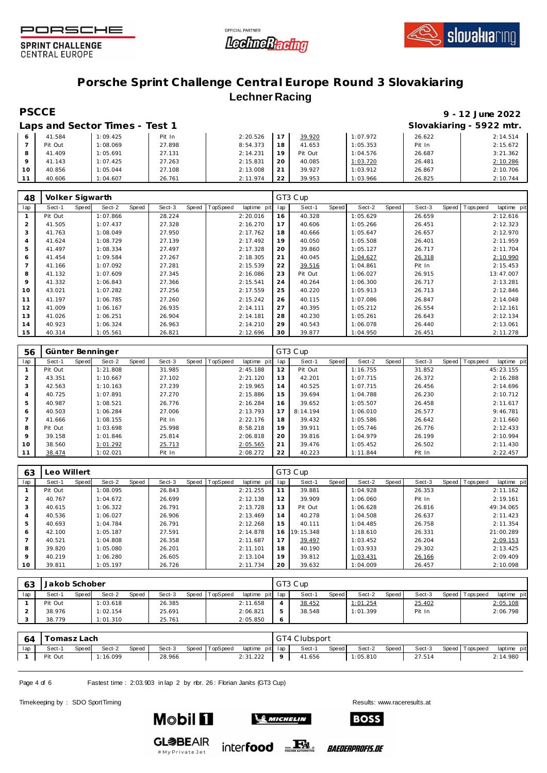





### **Porsche Sprint Challenge Central Europe Round 3 Slovakiaring Lechner Racing**

# **PSCCE 9 - 12 June 2022**

|    |         | Laps and Sector Times - Test 1 |        |          |                |         |          |        | Slovakiaring - 5922 mtr. |
|----|---------|--------------------------------|--------|----------|----------------|---------|----------|--------|--------------------------|
|    | 41.584  | 1:09.425                       | Pit In | 2:20.526 |                | 39.920  | 1:07.972 | 26.622 | 2:14.514                 |
|    | Pit Out | 1:08.069                       | 27.898 | 8:54.373 | 18             | 41.653  | 1:05.353 | Pit In | 2:15.672                 |
|    | 41.409  | 1:05.691                       | 27.131 | 2:14.231 | 19             | Pit Out | 1:04.576 | 26.687 | 3:21.362                 |
|    | 41.143  | 1:07.425                       | 27.263 | 2:15.831 | 20             | 40.085  | 1:03.720 | 26.481 | 2:10.286                 |
| 10 | 40.856  | 1:05.044                       | 27.108 | 2:13.008 | 2 <sup>1</sup> | 39.927  | 1:03.912 | 26.867 | 2:10.706                 |
|    | 40.606  | 1:04.607                       | 26.761 | 2:11.974 | 22             | 39.953  | 1:03.966 | 26.825 | 2:10.744                 |

| 48             | Volker Sigwarth |       |          |       |        |       |                 |             |     | GT3 Cup |       |          |       |        |                |             |
|----------------|-----------------|-------|----------|-------|--------|-------|-----------------|-------------|-----|---------|-------|----------|-------|--------|----------------|-------------|
| lap            | Sect-1          | Speed | Sect-2   | Speed | Sect-3 | Speed | <b>TopSpeed</b> | laptime pit | lap | Sect-1  | Speed | Sect-2   | Speed | Sect-3 | Speed Topspeed | laptime pit |
|                | Pit Out         |       | 1:07.866 |       | 28.224 |       |                 | 2:20.016    | 16  | 40.328  |       | 1:05.629 |       | 26.659 |                | 2:12.616    |
| $\overline{2}$ | 41.505          |       | 1:07.437 |       | 27.328 |       |                 | 2:16.270    | 17  | 40.606  |       | 1:05.266 |       | 26.451 |                | 2:12.323    |
| 3              | 41.763          |       | 1:08.049 |       | 27.950 |       |                 | 2:17.762    | 18  | 40.666  |       | 1:05.647 |       | 26.657 |                | 2:12.970    |
| 4              | 41.624          |       | 1:08.729 |       | 27.139 |       |                 | 2:17.492    | 19  | 40.050  |       | 1:05.508 |       | 26.401 |                | 2:11.959    |
| 5              | 41.497          |       | 1:08.334 |       | 27.497 |       |                 | 2:17.328    | 20  | 39.860  |       | 1:05.127 |       | 26.717 |                | 2:11.704    |
| 6              | 41.454          |       | 1:09.584 |       | 27.267 |       |                 | 2:18.305    | 21  | 40.045  |       | 1:04.627 |       | 26.318 |                | 2:10.990    |
|                | 41.166          |       | 1:07.092 |       | 27.281 |       |                 | 2:15.539    | 22  | 39.516  |       | 1:04.861 |       | Pit In |                | 2:15.453    |
| 8              | 41.132          |       | 1:07.609 |       | 27.345 |       |                 | 2:16.086    | 23  | Pit Out |       | 1:06.027 |       | 26.915 |                | 13:47.007   |
| 9              | 41.332          |       | 1:06.843 |       | 27.366 |       |                 | 2:15.541    | 24  | 40.264  |       | 1:06.300 |       | 26.717 |                | 2:13.281    |
| 10             | 43.021          |       | 1:07.282 |       | 27.256 |       |                 | 2:17.559    | 25  | 40.220  |       | 1:05.913 |       | 26.713 |                | 2:12.846    |
| 11             | 41.197          |       | 1:06.785 |       | 27.260 |       |                 | 2:15.242    | 26  | 40.115  |       | 1:07.086 |       | 26.847 |                | 2:14.048    |
| 12             | 41.009          |       | 1:06.167 |       | 26.935 |       |                 | 2:14.111    | 27  | 40.395  |       | 1:05.212 |       | 26.554 |                | 2:12.161    |
| 13             | 41.026          |       | 1:06.251 |       | 26.904 |       |                 | 2:14.181    | 28  | 40.230  |       | 1:05.261 |       | 26.643 |                | 2:12.134    |
| 14             | 40.923          |       | 1:06.324 |       | 26.963 |       |                 | 2:14.210    | 29  | 40.543  |       | 1:06.078 |       | 26.440 |                | 2:13.061    |
| 15             | 40.314          |       | 1:05.561 |       | 26.821 |       |                 | 2:12.696    | 30  | 39.877  |       | 1:04.950 |       | 26.451 |                | 2:11.278    |

| 56             |         |       | Günter Benninger |       |        |       |          |             |     | GT3 Cup  |       |          |       |        |                |             |
|----------------|---------|-------|------------------|-------|--------|-------|----------|-------------|-----|----------|-------|----------|-------|--------|----------------|-------------|
| lap            | Sect-1  | Speed | Sect-2           | Speed | Sect-3 | Speed | TopSpeed | laptime pit | lap | Sect-1   | Speed | Sect-2   | Speed | Sect-3 | Speed Topspeed | laptime pit |
|                | Pit Out |       | 1:21.808         |       | 31.985 |       |          | 2:45.188    | 12  | Pit Out  |       | 1:16.755 |       | 31.852 |                | 45:23.155   |
| $\overline{2}$ | 43.351  |       | 1:10.667         |       | 27.102 |       |          | 2:21.120    | 13  | 42.201   |       | 1:07.715 |       | 26.372 |                | 2:16.288    |
| 3              | 42.563  |       | 1:10.163         |       | 27.239 |       |          | 2:19.965    | 14  | 40.525   |       | 1:07.715 |       | 26.456 |                | 2:14.696    |
| 4              | 40.725  |       | 1:07.891         |       | 27.270 |       |          | 2:15.886    | 15  | 39.694   |       | 1:04.788 |       | 26.230 |                | 2:10.712    |
| 5              | 40.987  |       | 1:08.521         |       | 26.776 |       |          | 2:16.284    | 16  | 39.652   |       | 1:05.507 |       | 26.458 |                | 2:11.617    |
| 6              | 40.503  |       | 1:06.284         |       | 27.006 |       |          | 2:13.793    | 17  | 8:14.194 |       | 1:06.010 |       | 26.577 |                | 9:46.781    |
| $\overline{7}$ | 41.666  |       | 1:08.155         |       | Pit In |       |          | 2:22.176    | 18  | 39.432   |       | 1:05.586 |       | 26.642 |                | 2:11.660    |
| 8              | Pit Out |       | 1:03.698         |       | 25.998 |       |          | 8:58.218    | 19  | 39.911   |       | 1:05.746 |       | 26.776 |                | 2:12.433    |
| $\mathsf Q$    | 39.158  |       | 1:01.846         |       | 25.814 |       |          | 2:06.818    | 20  | 39.816   |       | 1:04.979 |       | 26.199 |                | 2:10.994    |
| 10             | 38.560  |       | 1:01.292         |       | 25.713 |       |          | 2:05.565    | 21  | 39.476   |       | 1:05.452 |       | 26.502 |                | 2:11.430    |
| 11             | 38.474  |       | 1:02.021         |       | Pit In |       |          | 2:08.272    | 22  | 40.223   |       | 1:11.844 |       | Pit In |                | 2:22.457    |

| 63             | Leo Willert |       |          |       |        |       |                 |             |     | GT3 Cup   |       |          |       |        |                |             |
|----------------|-------------|-------|----------|-------|--------|-------|-----------------|-------------|-----|-----------|-------|----------|-------|--------|----------------|-------------|
| lap            | Sect-1      | Speed | Sect-2   | Speed | Sect-3 | Speed | <b>TopSpeed</b> | laptime pit | lap | Sect-1    | Speed | Sect-2   | Speed | Sect-3 | Speed Topspeed | laptime pit |
|                | Pit Out     |       | 1:08.095 |       | 26.843 |       |                 | 2:21.255    |     | 39.881    |       | 1:04.928 |       | 26.353 |                | 2:11.162    |
| $\overline{2}$ | 40.767      |       | 1:04.672 |       | 26.699 |       |                 | 2:12.138    | 12  | 39.909    |       | 1:06.060 |       | Pit In |                | 2:19.161    |
| 3              | 40.615      |       | 1:06.322 |       | 26.791 |       |                 | 2:13.728    | 13  | Pit Out   |       | 1:06.628 |       | 26.816 |                | 49:34.065   |
| 4              | 40.536      |       | 1:06.027 |       | 26.906 |       |                 | 2:13.469    | 14  | 40.278    |       | 1:04.508 |       | 26.637 |                | 2:11.423    |
| 5              | 40.693      |       | 1:04.784 |       | 26.791 |       |                 | 2:12.268    | 15  | 40.111    |       | 1:04.485 |       | 26.758 |                | 2:11.354    |
| 6              | 42.100      |       | 1:05.187 |       | 27.591 |       |                 | 2:14.878    | 16  | 19:15.348 |       | 1:18.610 |       | 26.331 |                | 21:00.289   |
|                | 40.521      |       | 1:04.808 |       | 26.358 |       |                 | 2:11.687    | 17  | 39.497    |       | 1:03.452 |       | 26.204 |                | 2:09.153    |
| 8              | 39.820      |       | 1:05.080 |       | 26.201 |       |                 | 2:11.101    | 18  | 40.190    |       | 1:03.933 |       | 29.302 |                | 2:13.425    |
| 9              | 40.219      |       | 1:06.280 |       | 26.605 |       |                 | 2:13.104    | 19  | 39.812    |       | 1:03.431 |       | 26.166 |                | 2:09.409    |
| 10             | 39.811      |       | 1:05.197 |       | 26.726 |       |                 | 2:11.734    | 20  | 39.632    |       | 1:04.009 |       | 26.457 |                | 2:10.098    |

| $\sim$ | Jakob Schober |       |          |       |        |       |          |                 |                | GT3 Cup |       |          |       |        |                 |                |
|--------|---------------|-------|----------|-------|--------|-------|----------|-----------------|----------------|---------|-------|----------|-------|--------|-----------------|----------------|
| lap    | Sect-1        | Speed | Sect-2   | Speed | Sect-3 | Speed | TopSpeed | laptime pit lap |                | Sect-   | Speed | Sect-2   | Speed | Sect-3 | Speed Tops peed | pit<br>laptime |
|        | Pit Out       |       | 1:03.618 |       | 26.385 |       |          | 2:11.658        |                | 38.452  |       | 1:01.254 |       | 25.402 |                 | 2:05.108       |
|        | 38.976        |       | 1:02.154 |       | 25.691 |       |          | 2:06.821        | b.             | 38.548  |       | 1:01.399 |       | Pit In |                 | 2:06.798       |
|        | 38.779        |       | 1:01.310 |       | 25.761 |       |          | 2:05.850        | $\ddot{\circ}$ |         |       |          |       |        |                 |                |

| -64 |         | Tomasz Lach  |          |       |        |                |                 | GT4 Clubsport |       |          |       |        |                   |             |
|-----|---------|--------------|----------|-------|--------|----------------|-----------------|---------------|-------|----------|-------|--------|-------------------|-------------|
| lap | Sect-′  | <b>Speed</b> | Sect-2   | Speed | Sect-3 | Speed TopSpeed | laptime pit lap | Sect-1        | Speed | Sect-2   | Speed | Sect-3 | Speed   Tops peed | laptime pit |
|     | Pit Out |              | 1:16.099 |       | 28.966 |                | 2:31.222        | 41.656        |       | 1:05.810 |       | 27.514 |                   | 2:14.980    |

Page 4 of 6 Fastest time : 2:03.903 in lap 2 by nbr. 26 : Florian Janits (GT3 Cup)

Timekeeping by : SDO SportTiming Results: [www.raceresults.a](www.raceresults.at)t





**BOSS** 



inter**food** EX

*BAEDERPROFIS.DE*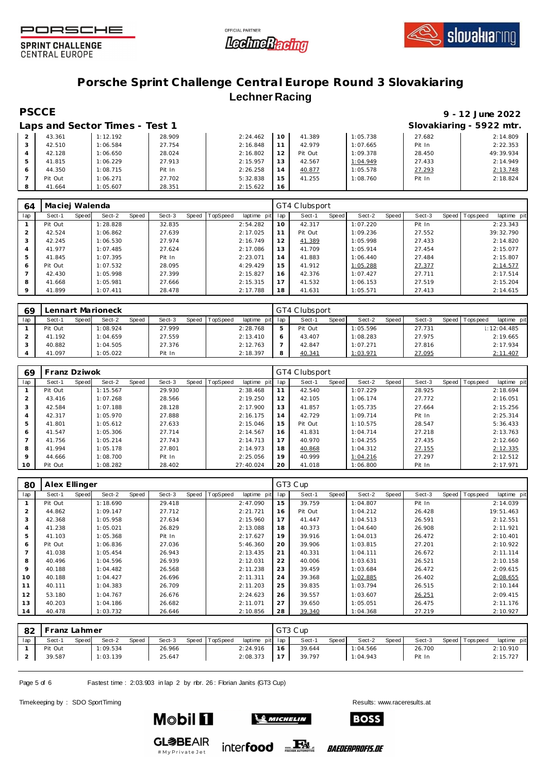





### **Porsche Sprint Challenge Central Europe Round 3 Slovakiaring Lechner Racing**

## **PSCCE 9 - 12 June 2022**

|         | Laps and Sector Times - Test 1 |        |          |    |         |          |        | Slovakiaring - 5922 mtr. |
|---------|--------------------------------|--------|----------|----|---------|----------|--------|--------------------------|
| 43.361  | 1:12.192                       | 28.909 | 2:24.462 | 10 | 41.389  | 1:05.738 | 27.682 | 2:14.809                 |
| 42.510  | 1:06.584                       | 27.754 | 2:16.848 |    | 42.979  | 1:07.665 | Pit In | 2:22.353                 |
| 42.128  | 1:06.650                       | 28.024 | 2:16.802 |    | Pit Out | 1:09.378 | 28.450 | 49:39.934                |
| 41.815  | 1:06.229                       | 27.913 | 2:15.957 | 13 | 42.567  | 1:04.949 | 27.433 | 2:14.949                 |
| 44.350  | 1:08.715                       | Pit In | 2:26.258 | 14 | 40.877  | 1:05.578 | 27.293 | 2:13.748                 |
| Pit Out | 1:06.271                       | 27.702 | 5:32.838 | 15 | 41.255  | 1:08.760 | Pit In | 2:18.824                 |
| 41.664  | 1:05.607                       | 28.351 | 2:15.622 | 16 |         |          |        |                          |

| 64      | Maciej Walenda |       |          |       |        |       |                 |             |     | GT4 Clubsport |       |          |       |        |  |                   |             |  |
|---------|----------------|-------|----------|-------|--------|-------|-----------------|-------------|-----|---------------|-------|----------|-------|--------|--|-------------------|-------------|--|
| lap     | Sect-1         | Speed | Sect-2   | Speed | Sect-3 | Speed | <b>TopSpeed</b> | laptime pit | lap | Sect-1        | Speed | Sect-2   | Speed | Sect-3 |  | Speed   Tops peed | laptime pit |  |
|         | Pit Out        |       | 1:28.828 |       | 32.835 |       |                 | 2:54.282    | 10  | 42.317        |       | 1:07.220 |       | Pit In |  |                   | 2:23.343    |  |
| 2       | 42.524         |       | 1:06.862 |       | 27.639 |       |                 | 2:17.025    | 11  | Pit Out       |       | 1:09.236 |       | 27.552 |  |                   | 39:32.790   |  |
| 3       | 42.245         |       | 1:06.530 |       | 27.974 |       |                 | 2:16.749    | 12  | 41.389        |       | 1:05.998 |       | 27.433 |  |                   | 2:14.820    |  |
| 4       | 41.977         |       | 1:07.485 |       | 27.624 |       |                 | 2:17.086    | 13  | 41.709        |       | 1:05.914 |       | 27.454 |  |                   | 2:15.077    |  |
| 5       | 41.845         |       | 1:07.395 |       | Pit In |       |                 | 2:23.071    | 14  | 41.883        |       | 1:06.440 |       | 27.484 |  |                   | 2:15.807    |  |
| 6       | Pit Out        |       | 1:07.532 |       | 28.095 |       |                 | 4:29.429    | 15  | 41.912        |       | 1:05.288 |       | 27.377 |  |                   | 2:14.577    |  |
|         | 42.430         |       | 1:05.998 |       | 27.399 |       |                 | 2:15.827    | 16  | 42.376        |       | 1:07.427 |       | 27.711 |  |                   | 2:17.514    |  |
| 8       | 41.668         |       | 1:05.981 |       | 27.666 |       |                 | 2:15.315    | 17  | 41.532        |       | 1:06.153 |       | 27.519 |  |                   | 2:15.204    |  |
| $\circ$ | 41.899         |       | 1:07.411 |       | 28.478 |       |                 | 2:17.788    | 18  | 41.631        |       | 1:05.571 |       | 27.413 |  |                   | 2:14.615    |  |

| 69  | Lennart Marioneck |       |          |       |        |  |                |                | GT4 Clubsport |         |              |          |       |        |       |            |             |  |
|-----|-------------------|-------|----------|-------|--------|--|----------------|----------------|---------------|---------|--------------|----------|-------|--------|-------|------------|-------------|--|
| lap | Sect-1            | Speed | Sect-2   | Speed | Sect-3 |  | Speed TopSpeed | laptime<br>pit | lap           | Sect-1  | <b>Speed</b> | Sect-2   | Speed | Sect-3 | Speed | Tops pee d | laptime pit |  |
|     | Pit Out           |       | 1:08.924 |       | 27.999 |  |                | 2:28.768       |               | Pit Out |              | 1:05.596 |       | 27.731 |       |            | 1:12:04.485 |  |
|     | 41.192            |       | 1:04.659 |       | 27.559 |  |                | 2:13.410       |               | 43.407  |              | 1:08.283 |       | 27.975 |       |            | 2:19.665    |  |
|     | 40.882            |       | 1:04.505 |       | 27.376 |  |                | 2:12.763       |               | 42.847  |              | 1:07.271 |       | 27.816 |       |            | 2:17.934    |  |
|     | 41.097            |       | 1:05.022 |       | Pit In |  |                | 2:18.397       |               | 40.341  |              | 1:03.971 |       | 27.095 |       |            | 2:11.407    |  |

| 69             | Franz Dziwok |       |          |       |        |  |                |             | GT4 Clubsport |         |       |          |       |        |  |                |             |
|----------------|--------------|-------|----------|-------|--------|--|----------------|-------------|---------------|---------|-------|----------|-------|--------|--|----------------|-------------|
| lap            | Sect-1       | Speed | Sect-2   | Speed | Sect-3 |  | Speed TopSpeed | laptime pit | lap           | Sect-1  | Speed | Sect-2   | Speed | Sect-3 |  | Speed Topspeed | laptime pit |
|                | Pit Out      |       | 1:15.567 |       | 29.930 |  |                | 2:38.468    |               | 42.540  |       | 1:07.229 |       | 28.925 |  |                | 2:18.694    |
| 2              | 43.416       |       | 1:07.268 |       | 28.566 |  |                | 2:19.250    | 12            | 42.105  |       | 1:06.174 |       | 27.772 |  |                | 2:16.051    |
| 3              | 42.584       |       | 1:07.188 |       | 28.128 |  |                | 2:17.900    | 13            | 41.857  |       | 1:05.735 |       | 27.664 |  |                | 2:15.256    |
| $\overline{4}$ | 42.317       |       | 1:05.970 |       | 27.888 |  |                | 2:16.175    | 14            | 42.729  |       | 1:09.714 |       | Pit In |  |                | 2:25.314    |
| 5              | 41.801       |       | 1:05.612 |       | 27.633 |  |                | 2:15.046    | 15            | Pit Out |       | 1:10.575 |       | 28.547 |  |                | 5:36.433    |
| 6              | 41.547       |       | 1:05.306 |       | 27.714 |  |                | 2:14.567    | 16            | 41.831  |       | 1:04.714 |       | 27.218 |  |                | 2:13.763    |
|                | 41.756       |       | 1:05.214 |       | 27.743 |  |                | 2:14.713    | 17            | 40.970  |       | 1:04.255 |       | 27.435 |  |                | 2:12.660    |
| 8              | 41.994       |       | 1:05.178 |       | 27.801 |  |                | 2:14.973    | 18            | 40.868  |       | 1:04.312 |       | 27.155 |  |                | 2:12.335    |
| $\mathsf Q$    | 44.666       |       | 1:08.700 |       | Pit In |  |                | 2:25.056    | 19            | 40.999  |       | 1:04.216 |       | 27.297 |  |                | 2:12.512    |
| 10             | Pit Out      |       | 1:08.282 |       | 28.402 |  |                | 27:40.024   | 20            | 41.018  |       | 1:06.800 |       | Pit In |  |                | 2:17.971    |

| 80             | Alex Ellinger |              |          |       |        |       |                 |             |     | GT3 Cup |       |          |       |        |  |                  |             |  |  |
|----------------|---------------|--------------|----------|-------|--------|-------|-----------------|-------------|-----|---------|-------|----------|-------|--------|--|------------------|-------------|--|--|
| lap            | Sect-1        | <b>Speed</b> | Sect-2   | Speed | Sect-3 | Speed | <b>TopSpeed</b> | laptime pit | lap | Sect-1  | Speed | Sect-2   | Speed | Sect-3 |  | Speed   Topspeed | laptime pit |  |  |
|                | Pit Out       |              | 1:18.690 |       | 29.418 |       |                 | 2:47.090    | 15  | 39.759  |       | 1:04.807 |       | Pit In |  |                  | 2:14.039    |  |  |
| 2              | 44.862        |              | 1:09.147 |       | 27.712 |       |                 | 2:21.721    | 16  | Pit Out |       | 1:04.212 |       | 26.428 |  |                  | 19:51.463   |  |  |
| 3              | 42.368        |              | 1:05.958 |       | 27.634 |       |                 | 2:15.960    | 17  | 41.447  |       | 1:04.513 |       | 26.591 |  |                  | 2:12.551    |  |  |
| 4              | 41.238        |              | 1:05.021 |       | 26.829 |       |                 | 2:13.088    | 18  | 40.373  |       | 1:04.640 |       | 26.908 |  |                  | 2:11.921    |  |  |
| 5              | 41.103        |              | 1:05.368 |       | Pit In |       |                 | 2:17.627    | 19  | 39.916  |       | 1:04.013 |       | 26.472 |  |                  | 2:10.401    |  |  |
| 6              | Pit Out       |              | 1:06.836 |       | 27.036 |       |                 | 5:46.360    | 20  | 39.906  |       | 1:03.815 |       | 27.201 |  |                  | 2:10.922    |  |  |
| $\overline{ }$ | 41.038        |              | 1:05.454 |       | 26.943 |       |                 | 2:13.435    | 21  | 40.331  |       | 1:04.111 |       | 26.672 |  |                  | 2:11.114    |  |  |
| 8              | 40.496        |              | 1:04.596 |       | 26.939 |       |                 | 2:12.031    | 22  | 40.006  |       | 1:03.631 |       | 26.521 |  |                  | 2:10.158    |  |  |
| 9              | 40.188        |              | 1:04.482 |       | 26.568 |       |                 | 2:11.238    | 23  | 39.459  |       | 1:03.684 |       | 26.472 |  |                  | 2:09.615    |  |  |
| 10             | 40.188        |              | 1:04.427 |       | 26.696 |       |                 | 2:11.311    | 24  | 39.368  |       | 1:02.885 |       | 26.402 |  |                  | 2:08.655    |  |  |
| 11             | 40.111        |              | 1:04.383 |       | 26.709 |       |                 | 2:11.203    | 25  | 39.835  |       | 1:03.794 |       | 26.515 |  |                  | 2:10.144    |  |  |
| 12             | 53.180        |              | 1:04.767 |       | 26.676 |       |                 | 2:24.623    | 26  | 39.557  |       | 1:03.607 |       | 26.251 |  |                  | 2:09.415    |  |  |
| 13             | 40.203        |              | 1:04.186 |       | 26.682 |       |                 | 2:11.071    | 27  | 39.650  |       | 1:05.051 |       | 26.475 |  |                  | 2:11.176    |  |  |
| 14             | 40.478        |              | 1:03.732 |       | 26.646 |       |                 | 2:10.856    | 28  | 39.340  |       | 1:04.368 |       | 27.219 |  |                  | 2:10.927    |  |  |

| 82  | Franz Lahmer |       |          |       |        |  |                |                 | GT3 Cup |        |       |          |       |        |  |                   |             |
|-----|--------------|-------|----------|-------|--------|--|----------------|-----------------|---------|--------|-------|----------|-------|--------|--|-------------------|-------------|
| lap | Sect-1       | Speed | Sect-2   | Speed | Sect-3 |  | Speed TopSpeed | laptime pit lap |         | Sect-1 | Speed | Sect-2   | Speed | Sect-3 |  | Speed   Tops peed | laptime pit |
|     | Pit Out      |       | 1:09.534 |       | 26.966 |  |                | 2:24.916        | 16      | 39.644 |       | 1:04.566 |       | 26.700 |  |                   | 2:10.910    |
|     | 39.587       |       | 1:03.139 |       | 25.647 |  |                | 2:08.373        | 17      | 39.797 |       | 1:04.943 |       | Pit In |  |                   | 2:15.727    |

Page 5 of 6 Fastest time : 2:03.903 in lap 2 by nbr. 26 : Florian Janits (GT3 Cup)

Timekeeping by : SDO SportTiming Results: [www.raceresults.a](www.raceresults.at)t



**Mobil 1** 



*BAEDERPROFIS.DE*